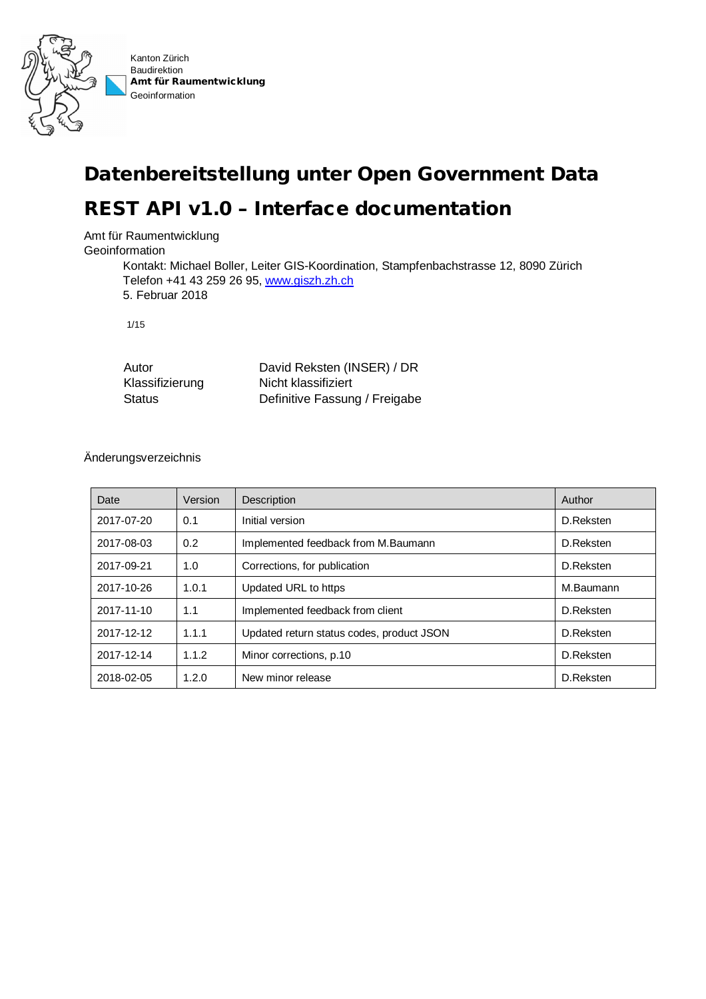

# **Datenbereitstellung unter Open Government Data**

## **REST API v1.0 – Interface documentation**

Amt für Raumentwicklung

**Geoinformation** 

Kontakt: Michael Boller, Leiter GIS-Koordination, Stampfenbachstrasse 12, 8090 Zürich Telefon +41 43 259 26 95, www.giszh.zh.ch 5. Februar 2018

1/15

| Autor           | David Reksten (INSER) / DR    |
|-----------------|-------------------------------|
| Klassifizierung | Nicht klassifiziert           |
| <b>Status</b>   | Definitive Fassung / Freigabe |

#### Änderungsverzeichnis

| Date       | Version | Description                               | Author    |
|------------|---------|-------------------------------------------|-----------|
| 2017-07-20 | 0.1     | Initial version                           | D.Reksten |
| 2017-08-03 | 0.2     | Implemented feedback from M.Baumann       | D.Reksten |
| 2017-09-21 | 1.0     | Corrections, for publication              | D.Reksten |
| 2017-10-26 | 1.0.1   | Updated URL to https                      | M.Baumann |
| 2017-11-10 | 1.1     | Implemented feedback from client          | D.Reksten |
| 2017-12-12 | 1.1.1   | Updated return status codes, product JSON | D.Reksten |
| 2017-12-14 | 1.1.2   | Minor corrections, p.10                   | D.Reksten |
| 2018-02-05 | 1.2.0   | New minor release                         | D.Reksten |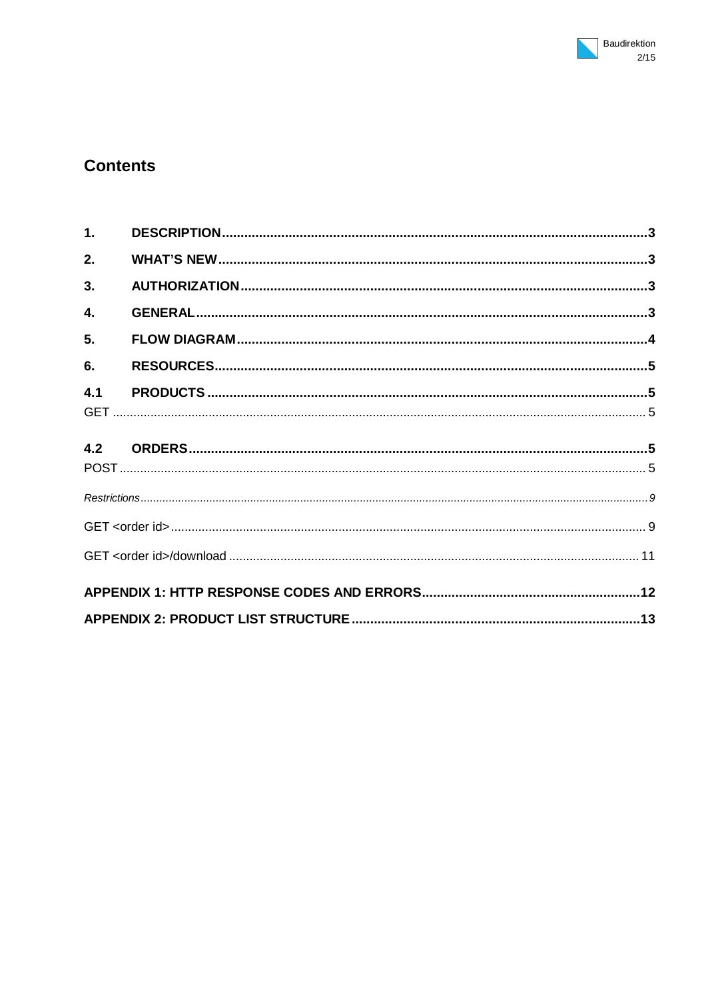## **Contents**

| 1.  |  |
|-----|--|
| 2.  |  |
| 3.  |  |
| 4.  |  |
| 5.  |  |
| 6.  |  |
| 4.1 |  |
|     |  |
|     |  |
|     |  |
|     |  |
|     |  |
|     |  |
|     |  |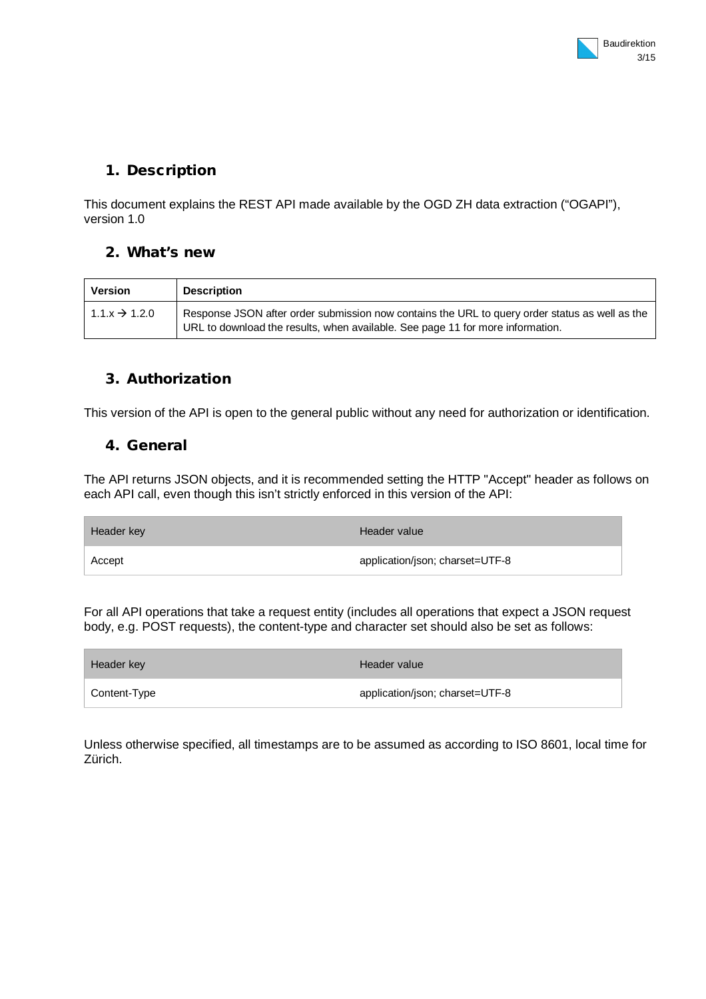## **1. Description**

This document explains the REST API made available by the OGD ZH data extraction ("OGAPI"), version 1.0

#### **2. What's new**

| <b>Version</b>            | <b>Description</b>                                                                                                                                                               |
|---------------------------|----------------------------------------------------------------------------------------------------------------------------------------------------------------------------------|
| $1.1.x \rightarrow 1.2.0$ | Response JSON after order submission now contains the URL to query order status as well as the<br>URL to download the results, when available. See page 11 for more information. |

## **3. Authorization**

This version of the API is open to the general public without any need for authorization or identification.

### **4. General**

The API returns JSON objects, and it is recommended setting the HTTP "Accept" header as follows on each API call, even though this isn't strictly enforced in this version of the API:

| Header key | Header value                    |
|------------|---------------------------------|
| Accept     | application/json; charset=UTF-8 |

For all API operations that take a request entity (includes all operations that expect a JSON request body, e.g. POST requests), the content-type and character set should also be set as follows:

| Header key   | Header value                    |
|--------------|---------------------------------|
| Content-Type | application/json; charset=UTF-8 |

Unless otherwise specified, all timestamps are to be assumed as according to ISO 8601, local time for Zürich.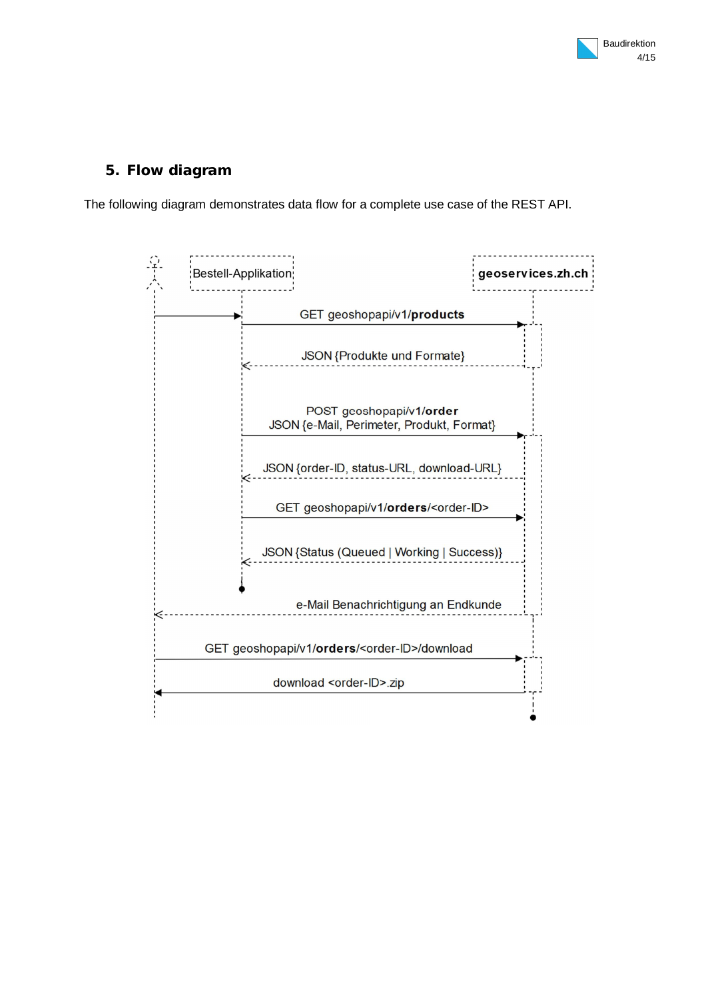## **5. Flow diagram**

The following diagram demonstrates data flow for a complete use case of the REST API.

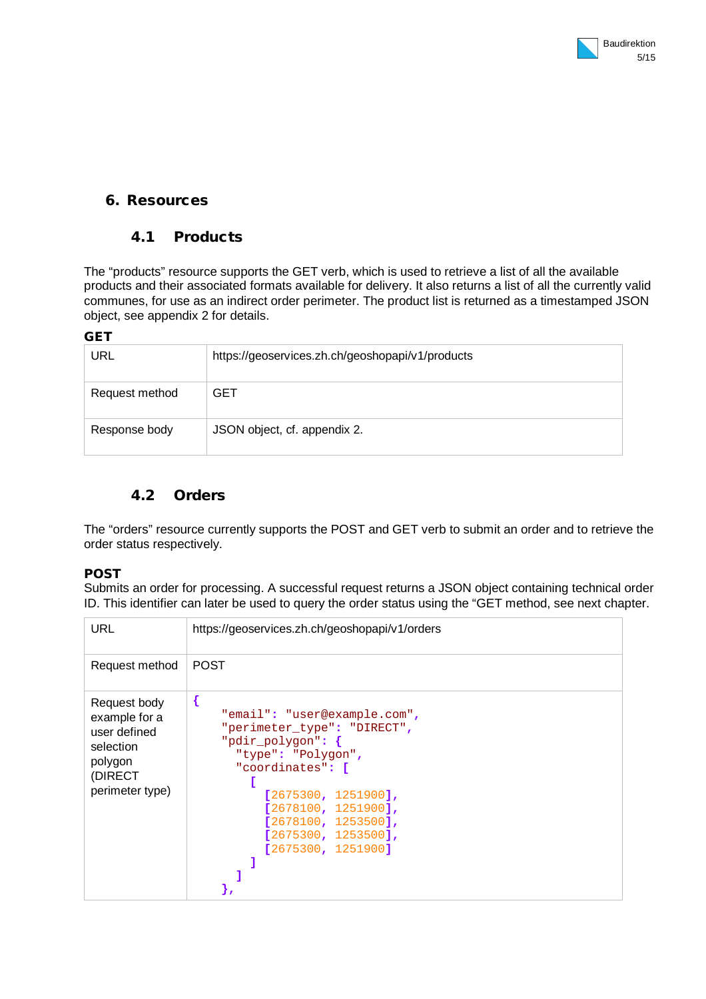## **6. Resources**

## **4.1 Products**

The "products" resource supports the GET verb, which is used to retrieve a list of all the available products and their associated formats available for delivery. It also returns a list of all the currently valid communes, for use as an indirect order perimeter. The product list is returned as a timestamped JSON object, see appendix 2 for details.

#### **GET**

| URL            | https://geoservices.zh.ch/geoshopapi/v1/products |
|----------------|--------------------------------------------------|
| Request method | GET                                              |
| Response body  | JSON object, cf. appendix 2.                     |

## **4.2 Orders**

The "orders" resource currently supports the POST and GET verb to submit an order and to retrieve the order status respectively.

#### **POST**

Submits an order for processing. A successful request returns a JSON object containing technical order ID. This identifier can later be used to query the order status using the "GET method, see next chapter.

| <b>URL</b>                                                                                          | https://geoservices.zh.ch/geoshopapi/v1/orders                                                                                                                                                                                                       |
|-----------------------------------------------------------------------------------------------------|------------------------------------------------------------------------------------------------------------------------------------------------------------------------------------------------------------------------------------------------------|
| Request method                                                                                      | <b>POST</b>                                                                                                                                                                                                                                          |
| Request body<br>example for a<br>user defined<br>selection<br>polygon<br>(DIRECT<br>perimeter type) | {<br>"email": "user@example.com",<br>"perimeter type": "DIRECT",<br>"pdir polygon": {<br>"type": "Polygon",<br>"coordinates": [<br>$[2675300, 1251900]$ ,<br>[2678100, 1251900],<br>[2678100, 1253500],<br>[2675300, 1253500],<br>[2675300, 1251900] |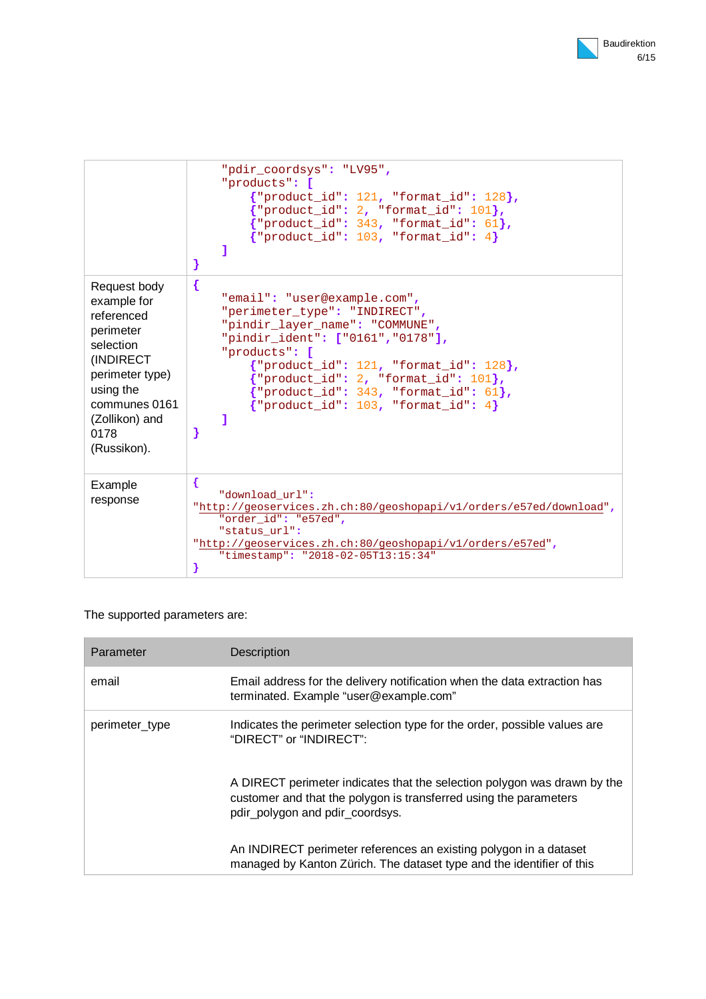|                                                                                                                                                                            | "pdir coordsys": "LV95",<br>"products": [<br>${$ "product_id": 121, "format_id": 128 ${}$ ,<br>$'$ "product_id": 2, "format_id": 101},<br>${'}$ product_id": 343, "format_id": 61},<br>${ 'product_id': 103, 'format_id': 4 }$<br>1<br>}                                                                                                                |
|----------------------------------------------------------------------------------------------------------------------------------------------------------------------------|---------------------------------------------------------------------------------------------------------------------------------------------------------------------------------------------------------------------------------------------------------------------------------------------------------------------------------------------------------|
| Request body<br>example for<br>referenced<br>perimeter<br>selection<br>(INDIRECT<br>perimeter type)<br>using the<br>communes 0161<br>(Zollikon) and<br>0178<br>(Russikon). | $\{$<br>"email": "user@example.com",<br>"perimeter_type": "INDIRECT",<br>"pindir_layer_name": "COMMUNE",<br>"pindir_ident": ["0161", "0178"],<br>"products": [<br>${$ "product_id": 121, "format_id": 128},<br>$'$ "product_id": 2, "format_id": 101},<br>${$ "product_id": 343, "format_id": 61 ${}$ ,<br>${ 'product_id': 103, 'format_id': 4 }$<br>٦ |
| Example<br>response                                                                                                                                                        | €<br>"download url":<br>"http://geoservices.zh.ch:80/geoshopapi/v1/orders/e57ed/download",<br>"order id": "e57ed",<br>"status url":<br>"http://geoservices.zh.ch:80/geoshopapi/v1/orders/e57ed",<br>"timestamp": "2018-02-05T13:15:34"<br>ł                                                                                                             |

#### The supported parameters are:

| Parameter      | <b>Description</b>                                                                                                                                                               |
|----------------|----------------------------------------------------------------------------------------------------------------------------------------------------------------------------------|
| email          | Email address for the delivery notification when the data extraction has<br>terminated. Example "user@example.com"                                                               |
| perimeter type | Indicates the perimeter selection type for the order, possible values are<br>"DIRECT" or "INDIRECT":                                                                             |
|                | A DIRECT perimeter indicates that the selection polygon was drawn by the<br>customer and that the polygon is transferred using the parameters<br>pdir_polygon and pdir_coordsys. |
|                | An INDIRECT perimeter references an existing polygon in a dataset<br>managed by Kanton Zürich. The dataset type and the identifier of this                                       |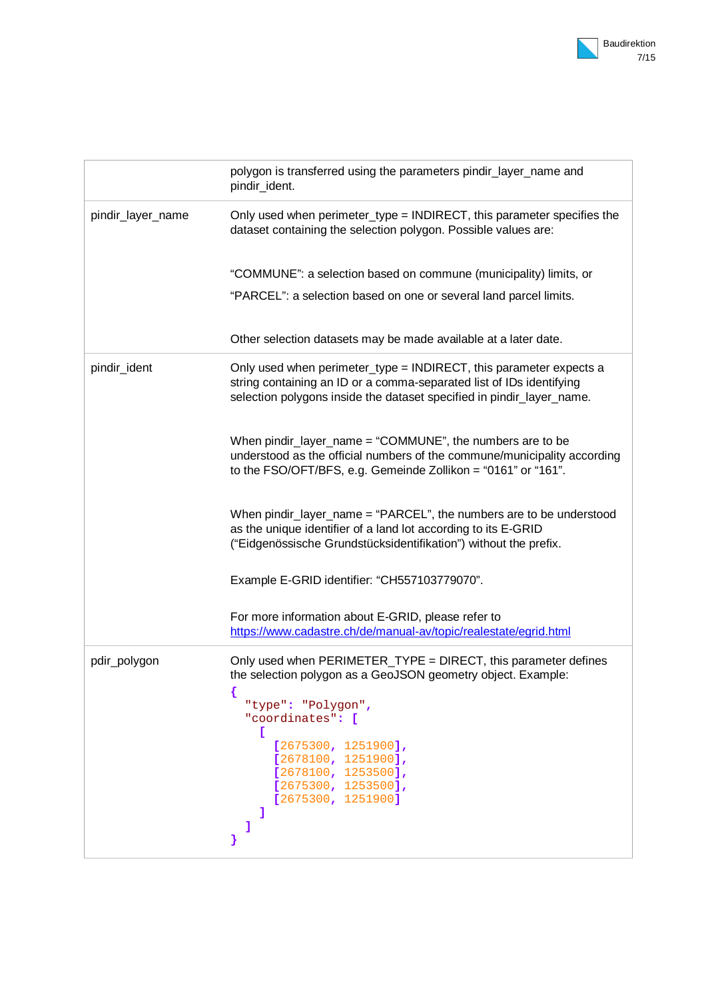|                   | polygon is transferred using the parameters pindir_layer_name and<br>pindir_ident.                                                                                                                                                                                                                   |
|-------------------|------------------------------------------------------------------------------------------------------------------------------------------------------------------------------------------------------------------------------------------------------------------------------------------------------|
| pindir_layer_name | Only used when perimeter_type = INDIRECT, this parameter specifies the<br>dataset containing the selection polygon. Possible values are:                                                                                                                                                             |
|                   | "COMMUNE": a selection based on commune (municipality) limits, or<br>"PARCEL": a selection based on one or several land parcel limits.                                                                                                                                                               |
|                   | Other selection datasets may be made available at a later date.                                                                                                                                                                                                                                      |
| pindir_ident      | Only used when perimeter_type = INDIRECT, this parameter expects a<br>string containing an ID or a comma-separated list of IDs identifying<br>selection polygons inside the dataset specified in pindir_layer_name.                                                                                  |
|                   | When pindir_layer_name = "COMMUNE", the numbers are to be<br>understood as the official numbers of the commune/municipality according<br>to the FSO/OFT/BFS, e.g. Gemeinde Zollikon = "0161" or "161".                                                                                               |
|                   | When pindir_layer_name = "PARCEL", the numbers are to be understood<br>as the unique identifier of a land lot according to its E-GRID<br>("Eidgenössische Grundstücksidentifikation") without the prefix.                                                                                            |
|                   | Example E-GRID identifier: "CH557103779070".                                                                                                                                                                                                                                                         |
|                   | For more information about E-GRID, please refer to<br>https://www.cadastre.ch/de/manual-av/topic/realestate/egrid.html                                                                                                                                                                               |
| pdir_polygon      | Only used when PERIMETER_TYPE = DIRECT, this parameter defines<br>the selection polygon as a GeoJSON geometry object. Example:<br>"type": "Polygon",<br>"coordinates": [<br>L<br>[2675300, 1251900],<br>[2678100, 1251900],<br>[2678100, 1253500],<br>[2675300, 1253500],<br>[2675300, 1251900]<br>ı |
|                   |                                                                                                                                                                                                                                                                                                      |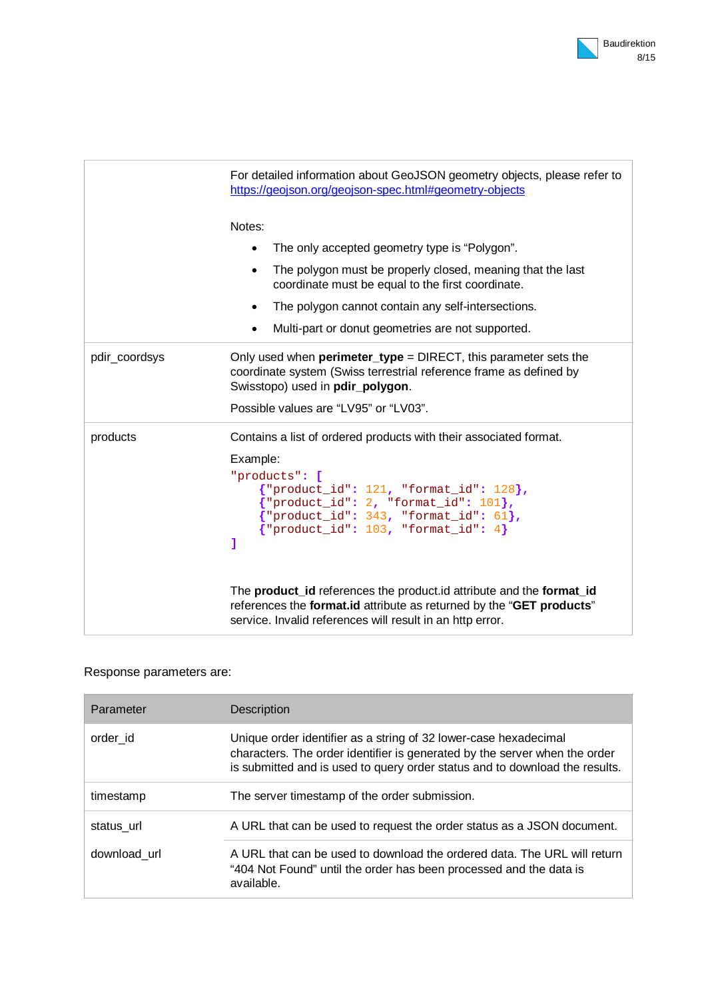|               | For detailed information about GeoJSON geometry objects, please refer to<br>https://geojson.org/geojson-spec.html#geometry-objects                                                                                                                                                       |
|---------------|------------------------------------------------------------------------------------------------------------------------------------------------------------------------------------------------------------------------------------------------------------------------------------------|
|               | Notes:                                                                                                                                                                                                                                                                                   |
|               | The only accepted geometry type is "Polygon".                                                                                                                                                                                                                                            |
|               | The polygon must be properly closed, meaning that the last<br>$\bullet$<br>coordinate must be equal to the first coordinate.                                                                                                                                                             |
|               | The polygon cannot contain any self-intersections.                                                                                                                                                                                                                                       |
|               | Multi-part or donut geometries are not supported.<br>$\bullet$                                                                                                                                                                                                                           |
| pdir_coordsys | Only used when <b>perimeter_type</b> = DIRECT, this parameter sets the<br>coordinate system (Swiss terrestrial reference frame as defined by<br>Swisstopo) used in pdir_polygon.<br>Possible values are "LV95" or "LV03".                                                                |
| products      | Contains a list of ordered products with their associated format.<br>Example:<br>"products": [<br>${$ "product_id": 121, "format_id": 128 ${}$ ,<br>$\{$ "product_id": 2, "format_id": 101},<br>${ 'product_id': 343, 'format_id': 61 }$<br>$\{$ "product_id": 103, "format_id": 4}<br>ı |
|               | The product_id references the product.id attribute and the format_id<br>references the format.id attribute as returned by the "GET products"<br>service. Invalid references will result in an http error.                                                                                |

## Response parameters are:

| Parameter    | Description                                                                                                                                                                                                                   |
|--------------|-------------------------------------------------------------------------------------------------------------------------------------------------------------------------------------------------------------------------------|
| order id     | Unique order identifier as a string of 32 lower-case hexadecimal<br>characters. The order identifier is generated by the server when the order<br>is submitted and is used to query order status and to download the results. |
| timestamp    | The server timestamp of the order submission.                                                                                                                                                                                 |
| status url   | A URL that can be used to request the order status as a JSON document.                                                                                                                                                        |
| download url | A URL that can be used to download the ordered data. The URL will return<br>"404 Not Found" until the order has been processed and the data is<br>available.                                                                  |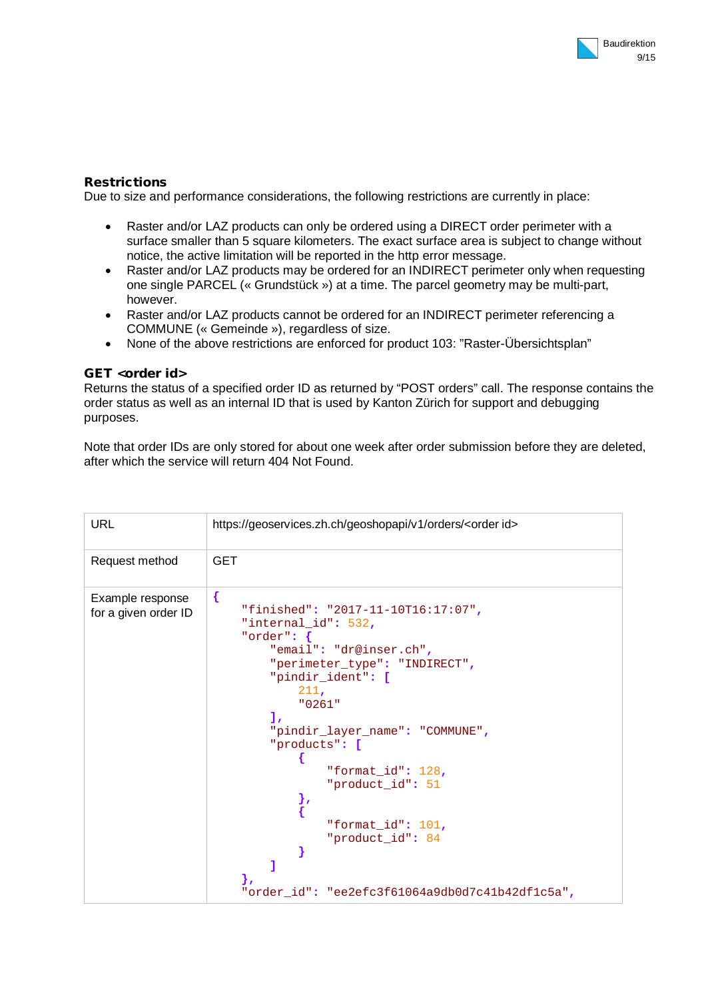#### **Restrictions**

Due to size and performance considerations, the following restrictions are currently in place:

- Raster and/or LAZ products can only be ordered using a DIRECT order perimeter with a surface smaller than 5 square kilometers. The exact surface area is subject to change without notice, the active limitation will be reported in the http error message.
- Raster and/or LAZ products may be ordered for an INDIRECT perimeter only when requesting one single PARCEL (« Grundstück ») at a time. The parcel geometry may be multi-part, however.
- Raster and/or LAZ products cannot be ordered for an INDIRECT perimeter referencing a COMMUNE (« Gemeinde »), regardless of size.
- None of the above restrictions are enforced for product 103: "Raster-Übersichtsplan"

#### **GET <order id>**

Returns the status of a specified order ID as returned by "POST orders" call. The response contains the order status as well as an internal ID that is used by Kanton Zürich for support and debugging purposes.

Note that order IDs are only stored for about one week after order submission before they are deleted, after which the service will return 404 Not Found.

| <b>URL</b>                               | https://geoservices.zh.ch/geoshopapi/v1/orders/ <order id=""></order>                                                                                                                                                                                                                                                                                                                                           |
|------------------------------------------|-----------------------------------------------------------------------------------------------------------------------------------------------------------------------------------------------------------------------------------------------------------------------------------------------------------------------------------------------------------------------------------------------------------------|
| Request method                           | <b>GET</b>                                                                                                                                                                                                                                                                                                                                                                                                      |
| Example response<br>for a given order ID | {<br>"finished": "2017-11-10T16:17:07",<br>"internal id": 532,<br>"order": $\{$<br>"email": "dr@inser.ch",<br>"perimeter type": "INDIRECT",<br>"pindir_ident": [<br>211.<br>"0261"<br>$\mathbf{1}$<br>"pindir_layer_name": "COMMUNE",<br>"products": [<br>"format_id": $128$ ,<br>"product_id": 51<br>},<br>"format id": 101,<br>"product_id": 84<br>1<br>λ,<br>"order_id": "ee2efc3f61064a9db0d7c41b42df1c5a", |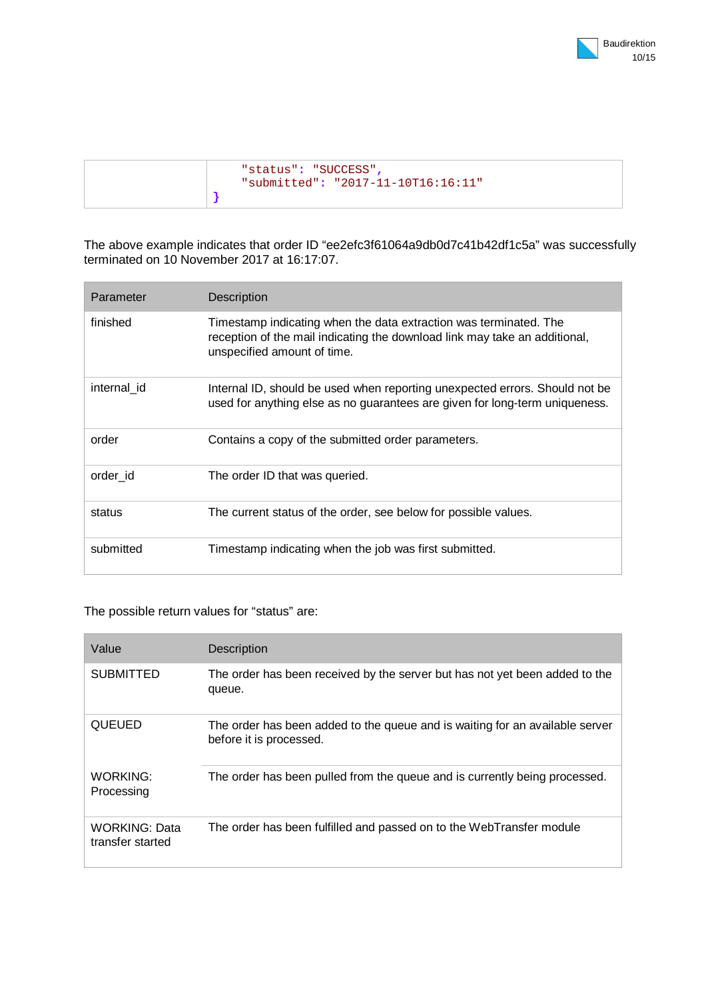| "status": "SUCCESS",<br>"submitted": "2017-11-10T16:16:11" |
|------------------------------------------------------------|
|                                                            |

The above example indicates that order ID "ee2efc3f61064a9db0d7c41b42df1c5a" was successfully terminated on 10 November 2017 at 16:17:07.

| Parameter   | Description                                                                                                                                                                    |
|-------------|--------------------------------------------------------------------------------------------------------------------------------------------------------------------------------|
| finished    | Timestamp indicating when the data extraction was terminated. The<br>reception of the mail indicating the download link may take an additional,<br>unspecified amount of time. |
| internal id | Internal ID, should be used when reporting unexpected errors. Should not be<br>used for anything else as no guarantees are given for long-term uniqueness.                     |
|             |                                                                                                                                                                                |
| order       | Contains a copy of the submitted order parameters.                                                                                                                             |
| order id    | The order ID that was queried.                                                                                                                                                 |
| status      | The current status of the order, see below for possible values.                                                                                                                |

The possible return values for "status" are:

| Value                                    | Description                                                                                             |
|------------------------------------------|---------------------------------------------------------------------------------------------------------|
| <b>SUBMITTED</b>                         | The order has been received by the server but has not yet been added to the<br>queue.                   |
| QUEUED                                   | The order has been added to the queue and is waiting for an available server<br>before it is processed. |
| WORKING:<br>Processing                   | The order has been pulled from the queue and is currently being processed.                              |
| <b>WORKING: Data</b><br>transfer started | The order has been fulfilled and passed on to the WebTransfer module                                    |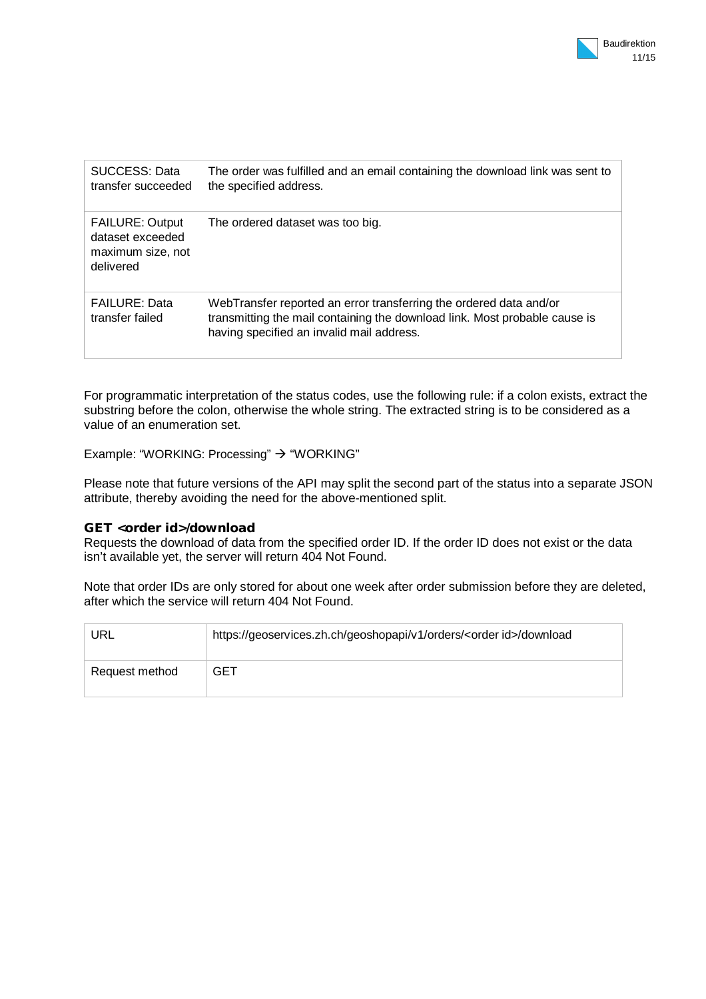| SUCCESS: Data<br>transfer succeeded                                          | The order was fulfilled and an email containing the download link was sent to<br>the specified address.                                                                                       |
|------------------------------------------------------------------------------|-----------------------------------------------------------------------------------------------------------------------------------------------------------------------------------------------|
| <b>FAILURE: Output</b><br>dataset exceeded<br>maximum size, not<br>delivered | The ordered dataset was too big.                                                                                                                                                              |
| <b>FAILURE: Data</b><br>transfer failed                                      | WebTransfer reported an error transferring the ordered data and/or<br>transmitting the mail containing the download link. Most probable cause is<br>having specified an invalid mail address. |

For programmatic interpretation of the status codes, use the following rule: if a colon exists, extract the substring before the colon, otherwise the whole string. The extracted string is to be considered as a value of an enumeration set.

Example: "WORKING: Processing"  $\rightarrow$  "WORKING"

Please note that future versions of the API may split the second part of the status into a separate JSON attribute, thereby avoiding the need for the above-mentioned split.

#### **GET <order id>/download**

Requests the download of data from the specified order ID. If the order ID does not exist or the data isn't available yet, the server will return 404 Not Found.

Note that order IDs are only stored for about one week after order submission before they are deleted, after which the service will return 404 Not Found.

| URL            | https://geoservices.zh.ch/geoshopapi/v1/orders/ <order id="">/download</order> |
|----------------|--------------------------------------------------------------------------------|
| Request method | GET                                                                            |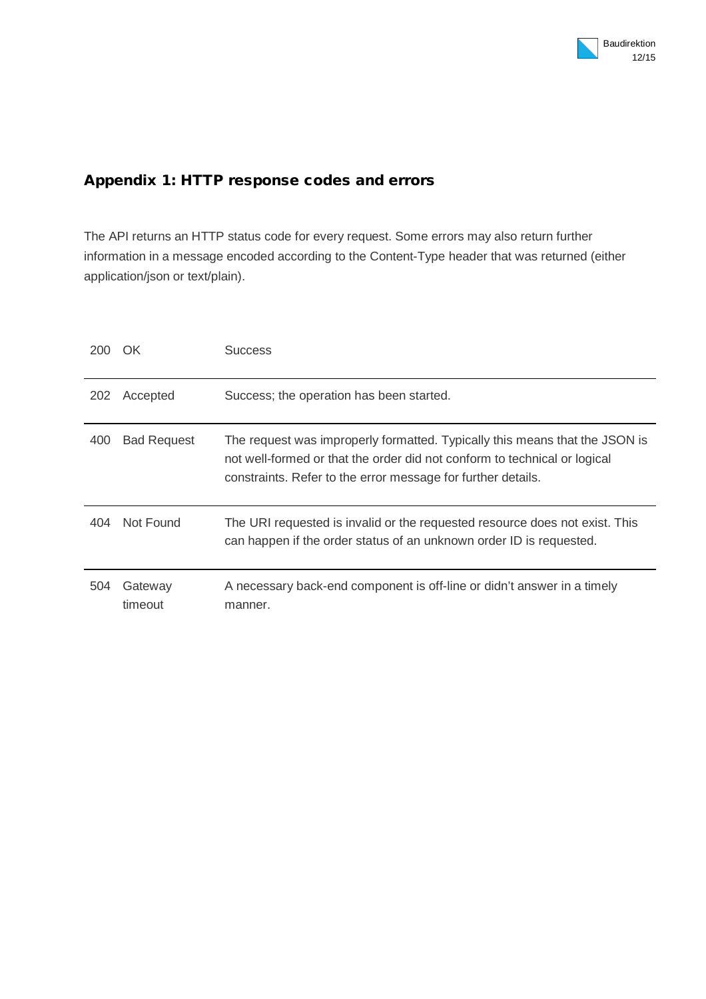## **Appendix 1: HTTP response codes and errors**

The API returns an HTTP status code for every request. Some errors may also return further information in a message encoded according to the Content-Type header that was returned (either application/json or text/plain).

| 200 | OK)                | <b>Success</b>                                                                                                                                                                                                           |
|-----|--------------------|--------------------------------------------------------------------------------------------------------------------------------------------------------------------------------------------------------------------------|
| 202 | Accepted           | Success; the operation has been started.                                                                                                                                                                                 |
| 400 | <b>Bad Request</b> | The request was improperly formatted. Typically this means that the JSON is<br>not well-formed or that the order did not conform to technical or logical<br>constraints. Refer to the error message for further details. |
| 404 | Not Found          | The URI requested is invalid or the requested resource does not exist. This<br>can happen if the order status of an unknown order ID is requested.                                                                       |
| 504 | Gateway<br>timeout | A necessary back-end component is off-line or didn't answer in a timely<br>manner.                                                                                                                                       |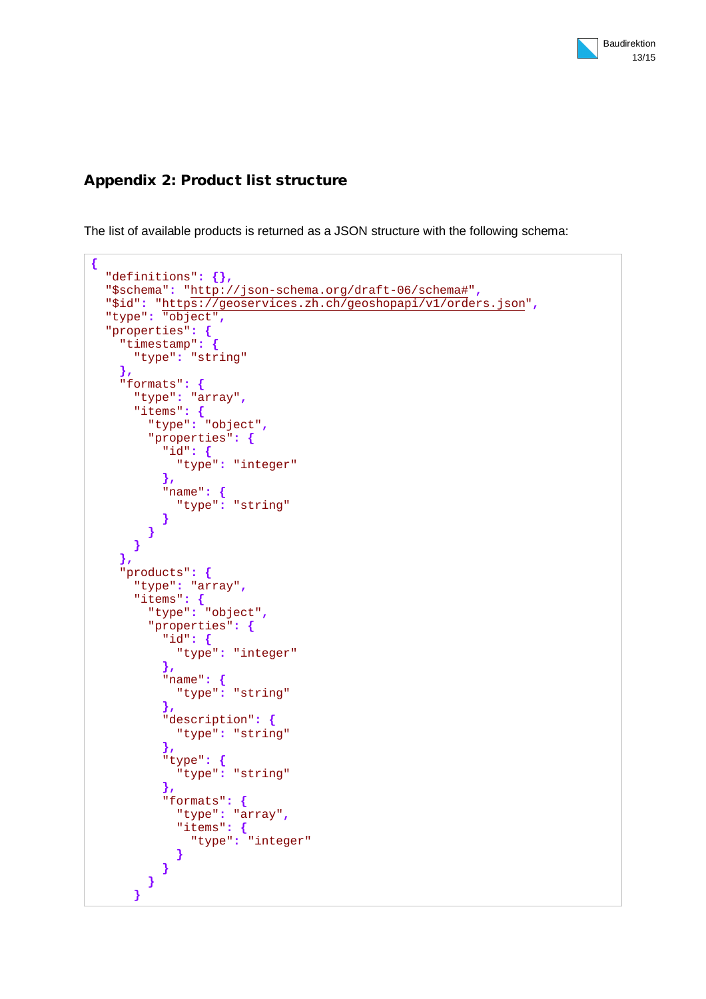## **Appendix 2: Product list structure**

The list of available products is returned as a JSON structure with the following schema:

```
{
   "definitions": {},
   "$schema": "http://json-schema.org/draft-06/schema#",
   "$id": "https://geoservices.zh.ch/geoshopapi/v1/orders.json",
   "type": "object",
   "properties": {
     "timestamp": {
       "type": "string"
     },
     "formats": {
       "type": "array",
       "items": {
         "type": "object",
         "properties": {
           "id": {
             "type": "integer"
           },
           "name": {
           "type": "string"
 }
         }
       }
     },
     "products": {
       "type": "array",
       "items": {
         "type": "object",
         "properties": {
           "id": {
             "type": "integer"
           },
           "name": {
             "type": "string"
           },
           "description": {
             "type": "string"
           },
           "type": {
             "type": "string"
           },
           "formats": {
             "type": "array",
             "items": {
               "type": "integer"
 }
 }
 }
       }
```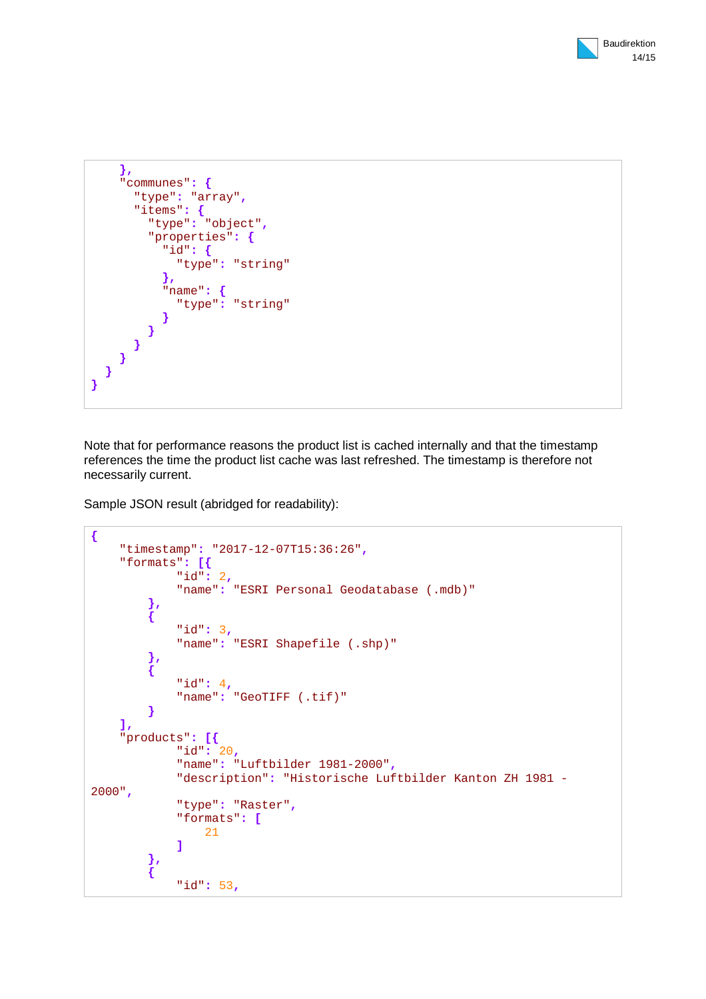

```
 },
    "communes": {
      "type": "array",
      "items": {
        "type": "object",
        "properties": {
          "id": {
            "type": "string"
          },
          "name": {
          "type": "string"
 }
 }
 }
 }
 }
}
```
Note that for performance reasons the product list is cached internally and that the timestamp references the time the product list cache was last refreshed. The timestamp is therefore not necessarily current.

Sample JSON result (abridged for readability):

```
{
     "timestamp": "2017-12-07T15:36:26",
     "formats": [{
             "id": 2,
             "name": "ESRI Personal Geodatabase (.mdb)"
 },
 {
             "id": 3,
             "name": "ESRI Shapefile (.shp)"
         },
 {
            "id": 4,
             "name": "GeoTIFF (.tif)"
         }
     ],
     "products": [{
             "id": 20,
             "name": "Luftbilder 1981-2000",
             "description": "Historische Luftbilder Kanton ZH 1981 -
2000",
             "type": "Raster",
             "formats": [
                21
 ]
 },
 {
             "id": 53,
```